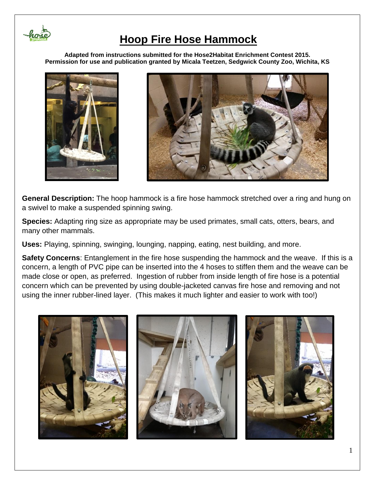

**Adapted from instructions submitted for the Hose2Habitat Enrichment Contest 2015. Permission for use and publication granted by Micala Teetzen, Sedgwick County Zoo, Wichita, KS**





**General Description:** The hoop hammock is a fire hose hammock stretched over a ring and hung on a swivel to make a suspended spinning swing.

**Species:** Adapting ring size as appropriate may be used primates, small cats, otters, bears, and many other mammals.

**Uses:** Playing, spinning, swinging, lounging, napping, eating, nest building, and more.

**Safety Concerns**: Entanglement in the fire hose suspending the hammock and the weave. If this is a concern, a length of PVC pipe can be inserted into the 4 hoses to stiffen them and the weave can be made close or open, as preferred. Ingestion of rubber from inside length of fire hose is a potential concern which can be prevented by using double-jacketed canvas fire hose and removing and not using the inner rubber-lined layer. (This makes it much lighter and easier to work with too!)

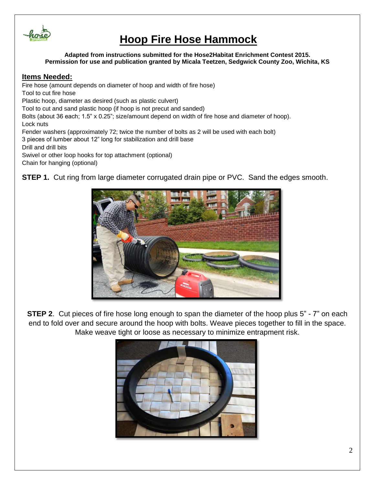

**Adapted from instructions submitted for the Hose2Habitat Enrichment Contest 2015. Permission for use and publication granted by Micala Teetzen, Sedgwick County Zoo, Wichita, KS**

#### **Items Needed:**

Fire hose (amount depends on diameter of hoop and width of fire hose) Tool to cut fire hose Plastic hoop, diameter as desired (such as plastic culvert) Tool to cut and sand plastic hoop (if hoop is not precut and sanded) Bolts (about 36 each; 1.5" x 0.25"; size/amount depend on width of fire hose and diameter of hoop). Lock nuts Fender washers (approximately 72; twice the number of bolts as 2 will be used with each bolt) 3 pieces of lumber about 12" long for stabilization and drill base Drill and drill bits Swivel or other loop hooks for top attachment (optional) Chain for hanging (optional)

**STEP 1.** Cut ring from large diameter corrugated drain pipe or PVC. Sand the edges smooth.



**STEP 2.** Cut pieces of fire hose long enough to span the diameter of the hoop plus 5" - 7" on each end to fold over and secure around the hoop with bolts. Weave pieces together to fill in the space. Make weave tight or loose as necessary to minimize entrapment risk.

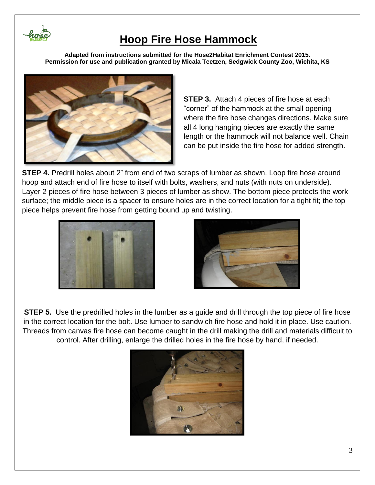

**Adapted from instructions submitted for the Hose2Habitat Enrichment Contest 2015. Permission for use and publication granted by Micala Teetzen, Sedgwick County Zoo, Wichita, KS**



**STEP 3.** Attach 4 pieces of fire hose at each "corner" of the hammock at the small opening where the fire hose changes directions. Make sure all 4 long hanging pieces are exactly the same length or the hammock will not balance well. Chain can be put inside the fire hose for added strength.

**STEP 4.** Predrill holes about 2" from end of two scraps of lumber as shown. Loop fire hose around hoop and attach end of fire hose to itself with bolts, washers, and nuts (with nuts on underside). Layer 2 pieces of fire hose between 3 pieces of lumber as show. The bottom piece protects the work surface; the middle piece is a spacer to ensure holes are in the correct location for a tight fit; the top piece helps prevent fire hose from getting bound up and twisting.





**STEP 5.** Use the predrilled holes in the lumber as a guide and drill through the top piece of fire hose in the correct location for the bolt. Use lumber to sandwich fire hose and hold it in place. Use caution. Threads from canvas fire hose can become caught in the drill making the drill and materials difficult to control. After drilling, enlarge the drilled holes in the fire hose by hand, if needed.